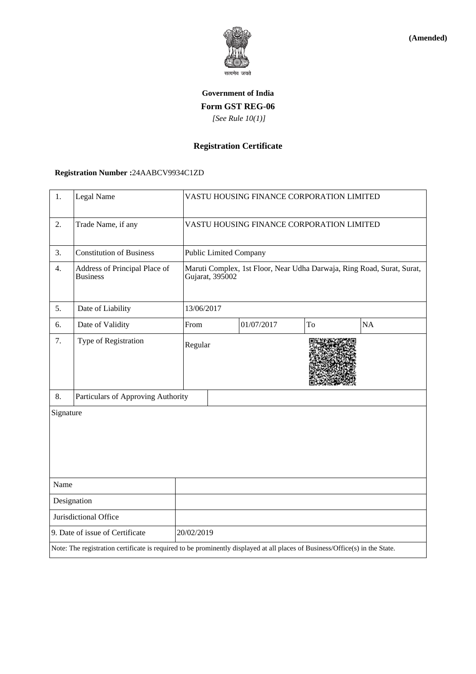

**(Amended)**

# **Government of India Form GST REG-06**  *[See Rule 10(1)]*

# **Registration Certificate**

## **Registration Number :**24AABCV9934C1ZD

| 1.                                                                                                                           | Legal Name                                       |            | VASTU HOUSING FINANCE CORPORATION LIMITED                                                 |            |    |    |  |
|------------------------------------------------------------------------------------------------------------------------------|--------------------------------------------------|------------|-------------------------------------------------------------------------------------------|------------|----|----|--|
| 2.                                                                                                                           | Trade Name, if any                               |            | VASTU HOUSING FINANCE CORPORATION LIMITED                                                 |            |    |    |  |
| 3.                                                                                                                           | <b>Constitution of Business</b>                  |            | <b>Public Limited Company</b>                                                             |            |    |    |  |
| 4.                                                                                                                           | Address of Principal Place of<br><b>Business</b> |            | Maruti Complex, 1st Floor, Near Udha Darwaja, Ring Road, Surat, Surat,<br>Gujarat, 395002 |            |    |    |  |
| 5.                                                                                                                           | Date of Liability                                |            | 13/06/2017                                                                                |            |    |    |  |
| 6.                                                                                                                           | Date of Validity                                 | From       |                                                                                           | 01/07/2017 | To | NA |  |
| 7.                                                                                                                           | Type of Registration                             |            | Regular                                                                                   |            |    |    |  |
| 8.                                                                                                                           | Particulars of Approving Authority               |            |                                                                                           |            |    |    |  |
| Signature                                                                                                                    |                                                  |            |                                                                                           |            |    |    |  |
| Name                                                                                                                         |                                                  |            |                                                                                           |            |    |    |  |
| Designation                                                                                                                  |                                                  |            |                                                                                           |            |    |    |  |
| Jurisdictional Office                                                                                                        |                                                  |            |                                                                                           |            |    |    |  |
| 9. Date of issue of Certificate                                                                                              |                                                  | 20/02/2019 |                                                                                           |            |    |    |  |
| Note: The registration certificate is required to be prominently displayed at all places of Business/Office(s) in the State. |                                                  |            |                                                                                           |            |    |    |  |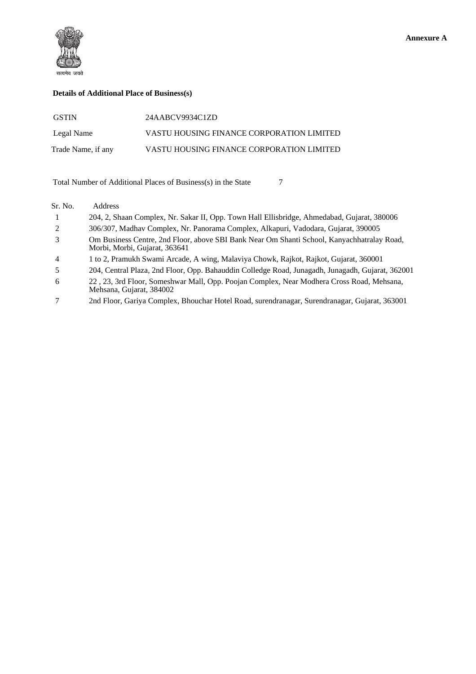

#### **Details of Additional Place of Business(s)**

| <b>GSTIN</b>       | 24AABCV9934C1ZD                           |
|--------------------|-------------------------------------------|
| Legal Name         | VASTU HOUSING FINANCE CORPORATION LIMITED |
| Trade Name, if any | VASTU HOUSING FINANCE CORPORATION LIMITED |

Total Number of Additional Places of Business(s) in the State 7

#### Sr. No. Address

- 1 204, 2, Shaan Complex, Nr. Sakar II, Opp. Town Hall Ellisbridge, Ahmedabad, Gujarat, 380006
- 2 306/307, Madhav Complex, Nr. Panorama Complex, Alkapuri, Vadodara, Gujarat, 390005
- 3 Om Business Centre, 2nd Floor, above SBI Bank Near Om Shanti School, Kanyachhatralay Road, Morbi, Morbi, Gujarat, 363641
- 4 1 to 2, Pramukh Swami Arcade, A wing, Malaviya Chowk, Rajkot, Rajkot, Gujarat, 360001

5 204, Central Plaza, 2nd Floor, Opp. Bahauddin Colledge Road, Junagadh, Junagadh, Gujarat, 362001

- 6 22 , 23, 3rd Floor, Someshwar Mall, Opp. Poojan Complex, Near Modhera Cross Road, Mehsana, Mehsana, Gujarat, 384002
- 7 2nd Floor, Gariya Complex, Bhouchar Hotel Road, surendranagar, Surendranagar, Gujarat, 363001